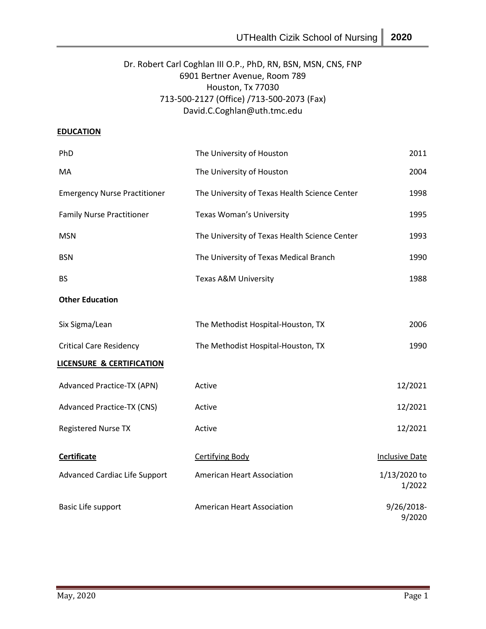# Dr. Robert Carl Coghlan III O.P., PhD, RN, BSN, MSN, CNS, FNP 6901 Bertner Avenue, Room 789 Houston, Tx 77030 713-500-2127 (Office) /713-500-2073 (Fax) David.C.Coghlan@uth.tmc.edu

# **EDUCATION**

| PhD                                  | The University of Houston                     | 2011                   |
|--------------------------------------|-----------------------------------------------|------------------------|
| MA                                   | The University of Houston                     | 2004                   |
| <b>Emergency Nurse Practitioner</b>  | The University of Texas Health Science Center | 1998                   |
| <b>Family Nurse Practitioner</b>     | Texas Woman's University                      | 1995                   |
| <b>MSN</b>                           | The University of Texas Health Science Center | 1993                   |
| <b>BSN</b>                           | The University of Texas Medical Branch        | 1990                   |
| <b>BS</b>                            | <b>Texas A&amp;M University</b>               | 1988                   |
| <b>Other Education</b>               |                                               |                        |
| Six Sigma/Lean                       | The Methodist Hospital-Houston, TX            | 2006                   |
| <b>Critical Care Residency</b>       | The Methodist Hospital-Houston, TX            | 1990                   |
| <b>LICENSURE &amp; CERTIFICATION</b> |                                               |                        |
| <b>Advanced Practice-TX (APN)</b>    | Active                                        | 12/2021                |
| <b>Advanced Practice-TX (CNS)</b>    | Active                                        | 12/2021                |
| <b>Registered Nurse TX</b>           | Active                                        | 12/2021                |
| <b>Certificate</b>                   | <b>Certifying Body</b>                        | <b>Inclusive Date</b>  |
| <b>Advanced Cardiac Life Support</b> | <b>American Heart Association</b>             | 1/13/2020 to<br>1/2022 |
| Basic Life support                   | <b>American Heart Association</b>             | 9/26/2018-<br>9/2020   |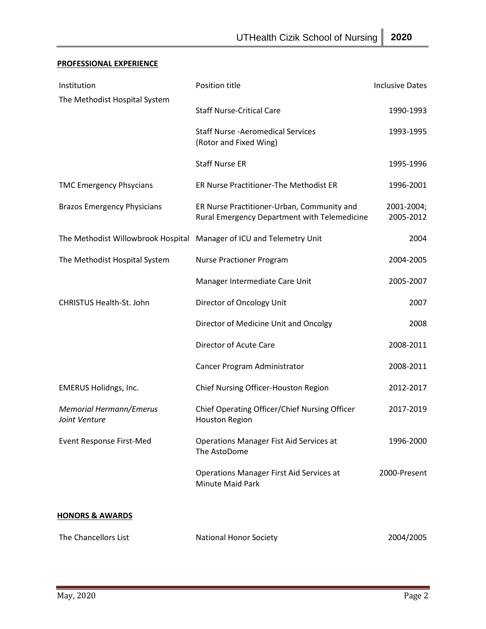# **PROFESSIONAL EXPERIENCE**

| Institution                                                          | Position title                                                                             | <b>Inclusive Dates</b>  |
|----------------------------------------------------------------------|--------------------------------------------------------------------------------------------|-------------------------|
| The Methodist Hospital System                                        | <b>Staff Nurse-Critical Care</b>                                                           | 1990-1993               |
|                                                                      | <b>Staff Nurse - Aeromedical Services</b><br>(Rotor and Fixed Wing)                        | 1993-1995               |
|                                                                      | <b>Staff Nurse ER</b>                                                                      | 1995-1996               |
| <b>TMC Emergency Phsycians</b>                                       | ER Nurse Practitioner-The Methodist ER                                                     | 1996-2001               |
| <b>Brazos Emergency Physicians</b>                                   | ER Nurse Practitioner-Urban, Community and<br>Rural Emergency Department with Telemedicine | 2001-2004;<br>2005-2012 |
| The Methodist Willowbrook Hospital Manager of ICU and Telemetry Unit |                                                                                            | 2004                    |
| The Methodist Hospital System                                        | <b>Nurse Practioner Program</b>                                                            | 2004-2005               |
|                                                                      | Manager Intermediate Care Unit                                                             | 2005-2007               |
| CHRISTUS Health-St. John                                             | Director of Oncology Unit                                                                  | 2007                    |
|                                                                      | Director of Medicine Unit and Oncolgy                                                      | 2008                    |
|                                                                      | Director of Acute Care                                                                     | 2008-2011               |
|                                                                      | Cancer Program Administrator                                                               | 2008-2011               |
| <b>EMERUS Holidngs, Inc.</b>                                         | Chief Nursing Officer-Houston Region                                                       | 2012-2017               |
| <b>Memorial Hermann/Emerus</b><br>Joint Venture                      | Chief Operating Officer/Chief Nursing Officer<br><b>Houston Region</b>                     | 2017-2019               |
| <b>Event Response First-Med</b>                                      | Operations Manager Fist Aid Services at<br>The AstoDome                                    | 1996-2000               |
|                                                                      | <b>Operations Manager First Aid Services at</b><br>Minute Maid Park                        | 2000-Present            |
| <b>HONORS &amp; AWARDS</b>                                           |                                                                                            |                         |
| The Chancellors List                                                 | <b>National Honor Society</b>                                                              | 2004/2005               |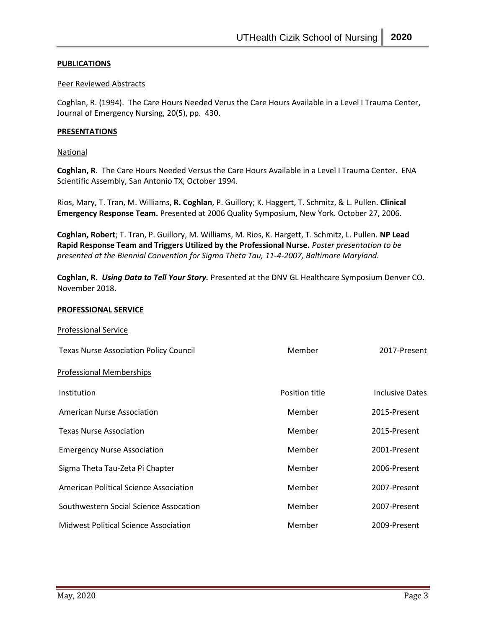#### **PUBLICATIONS**

#### Peer Reviewed Abstracts

Coghlan, R. (1994). The Care Hours Needed Verus the Care Hours Available in a Level I Trauma Center, Journal of Emergency Nursing, 20(5), pp. 430.

### **PRESENTATIONS**

**National** 

**Coghlan, R**. The Care Hours Needed Versus the Care Hours Available in a Level I Trauma Center. ENA Scientific Assembly, San Antonio TX, October 1994.

Rios, Mary, T. Tran, M. Williams, **R. Coghlan**, P. Guillory; K. Haggert, T. Schmitz, & L. Pullen. **Clinical Emergency Response Team.** Presented at 2006 Quality Symposium, New York. October 27, 2006.

**Coghlan, Robert**; T. Tran, P. Guillory, M. Williams, M. Rios, K. Hargett, T. Schmitz, L. Pullen. **NP Lead Rapid Response Team and Triggers Utilized by the Professional Nurse.** *Poster presentation to be presented at the Biennial Convention for Sigma Theta Tau, 11-4-2007, Baltimore Maryland.*

**Coghlan, R.** *Using Data to Tell Your Story.* Presented at the DNV GL Healthcare Symposium Denver CO. November 2018.

#### **PROFESSIONAL SERVICE**

| <b>Professional Service</b>                   |                |                        |
|-----------------------------------------------|----------------|------------------------|
| <b>Texas Nurse Association Policy Council</b> | Member         | 2017-Present           |
| <b>Professional Memberships</b>               |                |                        |
| Institution                                   | Position title | <b>Inclusive Dates</b> |
| American Nurse Association                    | Member         | 2015-Present           |
| <b>Texas Nurse Association</b>                | Member         | 2015-Present           |
| <b>Emergency Nurse Association</b>            | Member         | 2001-Present           |
| Sigma Theta Tau-Zeta Pi Chapter               | Member         | 2006-Present           |
| American Political Science Association        | Member         | 2007-Present           |
| Southwestern Social Science Assocation        | Member         | 2007-Present           |
| <b>Midwest Political Science Association</b>  | Member         | 2009-Present           |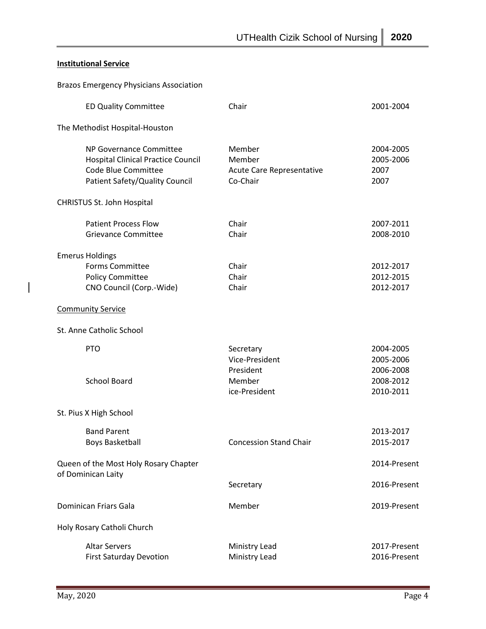# **Institutional Service**

 $\begin{array}{c} \rule{0pt}{2ex} \rule{0pt}{2ex} \rule{0pt}{2ex} \rule{0pt}{2ex} \rule{0pt}{2ex} \rule{0pt}{2ex} \rule{0pt}{2ex} \rule{0pt}{2ex} \rule{0pt}{2ex} \rule{0pt}{2ex} \rule{0pt}{2ex} \rule{0pt}{2ex} \rule{0pt}{2ex} \rule{0pt}{2ex} \rule{0pt}{2ex} \rule{0pt}{2ex} \rule{0pt}{2ex} \rule{0pt}{2ex} \rule{0pt}{2ex} \rule{0pt}{2ex} \rule{0pt}{2ex} \rule{0pt}{2ex} \rule{0pt}{2ex} \rule{0pt}{$ 

| <b>Brazos Emergency Physicians Association</b>                                                                                |                                                                     |                                                               |
|-------------------------------------------------------------------------------------------------------------------------------|---------------------------------------------------------------------|---------------------------------------------------------------|
| <b>ED Quality Committee</b>                                                                                                   | Chair                                                               | 2001-2004                                                     |
| The Methodist Hospital-Houston                                                                                                |                                                                     |                                                               |
| NP Governance Committee<br><b>Hospital Clinical Practice Council</b><br>Code Blue Committee<br>Patient Safety/Quality Council | Member<br>Member<br>Acute Care Representative<br>Co-Chair           | 2004-2005<br>2005-2006<br>2007<br>2007                        |
| <b>CHRISTUS St. John Hospital</b>                                                                                             |                                                                     |                                                               |
| <b>Patient Process Flow</b><br><b>Grievance Committee</b>                                                                     | Chair<br>Chair                                                      | 2007-2011<br>2008-2010                                        |
| <b>Emerus Holdings</b><br><b>Forms Committee</b><br><b>Policy Committee</b><br>CNO Council (Corp.-Wide)                       | Chair<br>Chair<br>Chair                                             | 2012-2017<br>2012-2015<br>2012-2017                           |
| <b>Community Service</b>                                                                                                      |                                                                     |                                                               |
| St. Anne Catholic School                                                                                                      |                                                                     |                                                               |
| <b>PTO</b><br><b>School Board</b>                                                                                             | Secretary<br>Vice-President<br>President<br>Member<br>ice-President | 2004-2005<br>2005-2006<br>2006-2008<br>2008-2012<br>2010-2011 |
| St. Pius X High School                                                                                                        |                                                                     |                                                               |
| <b>Band Parent</b><br><b>Boys Basketball</b>                                                                                  | <b>Concession Stand Chair</b>                                       | 2013-2017<br>2015-2017                                        |
| Queen of the Most Holy Rosary Chapter<br>of Dominican Laity                                                                   |                                                                     | 2014-Present                                                  |
|                                                                                                                               | Secretary                                                           | 2016-Present                                                  |
| Dominican Friars Gala                                                                                                         | Member                                                              | 2019-Present                                                  |
| Holy Rosary Catholi Church                                                                                                    |                                                                     |                                                               |
| <b>Altar Servers</b><br><b>First Saturday Devotion</b>                                                                        | Ministry Lead<br>Ministry Lead                                      | 2017-Present<br>2016-Present                                  |